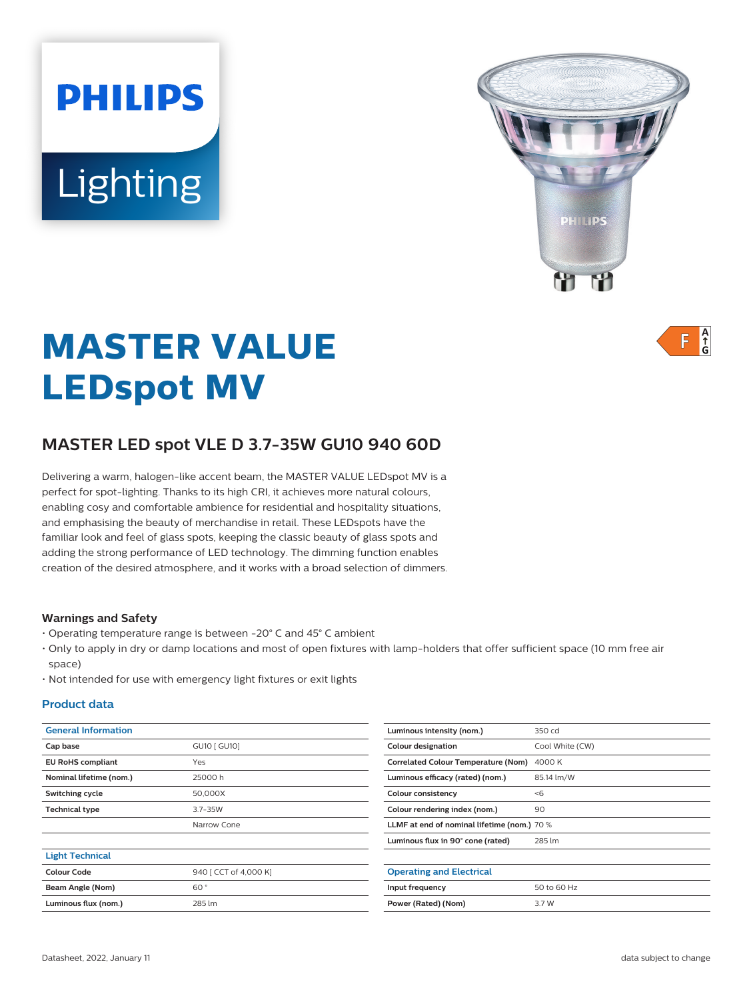# **PHILIPS** Lighting



 $A_f$ F

# **MASTER VALUE LEDspot MV**

# **MASTER LED spot VLE D 3.7-35W GU10 940 60D**

Delivering a warm, halogen-like accent beam, the MASTER VALUE LEDspot MV is a perfect for spot-lighting. Thanks to its high CRI, it achieves more natural colours, enabling cosy and comfortable ambience for residential and hospitality situations, and emphasising the beauty of merchandise in retail. These LEDspots have the familiar look and feel of glass spots, keeping the classic beauty of glass spots and adding the strong performance of LED technology. The dimming function enables creation of the desired atmosphere, and it works with a broad selection of dimmers.

#### **Warnings and Safety**

- Operating temperature range is between -20° C and 45° C ambient
- Only to apply in dry or damp locations and most of open fixtures with lamp-holders that offer sufficient space (10 mm free air space)
- Not intended for use with emergency light fixtures or exit lights

#### **Product data**

| <b>General Information</b> |                       | Luminous intensity (nom.)                   | 350 cd          |
|----------------------------|-----------------------|---------------------------------------------|-----------------|
| Cap base                   | GU10 [ GU10]          | <b>Colour designation</b>                   | Cool White (CW) |
| <b>EU RoHS compliant</b>   | Yes                   | Correlated Colour Temperature (Nom) 4000 K  |                 |
| Nominal lifetime (nom.)    | 25000h                | Luminous efficacy (rated) (nom.)            | 85.14 lm/W      |
| Switching cycle            | 50,000X               | Colour consistency                          | < 6             |
| <b>Technical type</b>      | 3.7-35W               | Colour rendering index (nom.)               | 90              |
|                            | Narrow Cone           | LLMF at end of nominal lifetime (nom.) 70 % |                 |
|                            |                       | Luminous flux in 90° cone (rated)           | 285 lm          |
| <b>Light Technical</b>     |                       |                                             |                 |
| <b>Colour Code</b>         | 940 [ CCT of 4,000 K] | <b>Operating and Electrical</b>             |                 |
| Beam Angle (Nom)           | 60°                   | Input frequency                             | 50 to 60 Hz     |
| Luminous flux (nom.)       | 285 lm                | Power (Rated) (Nom)                         | 3.7 W           |
|                            |                       |                                             |                 |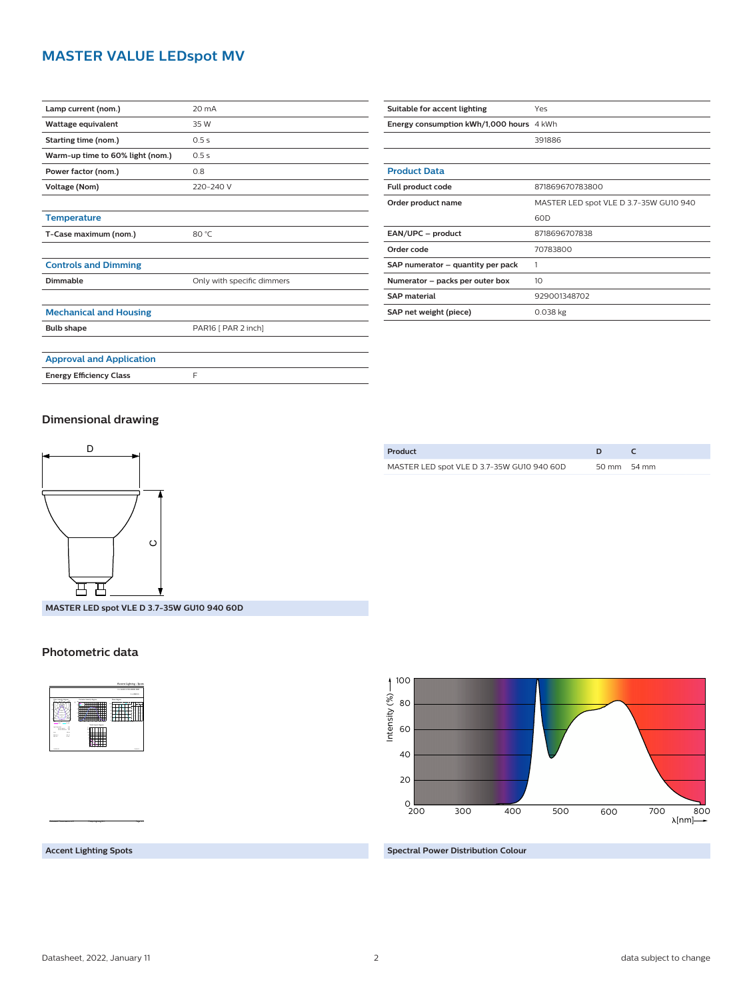## **MASTER VALUE LEDspot MV**

| Lamp current (nom.)              | 20 mA                      |
|----------------------------------|----------------------------|
| Wattage equivalent               | 35 W                       |
| Starting time (nom.)             | 0.5s                       |
| Warm-up time to 60% light (nom.) | 0.5s                       |
| Power factor (nom.)              | 0.8                        |
| <b>Voltage (Nom)</b>             | 220-240 V                  |
|                                  |                            |
| <b>Temperature</b>               |                            |
| T-Case maximum (nom.)            | 80 °C                      |
|                                  |                            |
| <b>Controls and Dimming</b>      |                            |
| Dimmable                         | Only with specific dimmers |
|                                  |                            |
| <b>Mechanical and Housing</b>    |                            |
| <b>Bulb shape</b>                | PAR16 [ PAR 2 inch]        |
|                                  |                            |
| <b>Approval and Application</b>  |                            |
| <b>Energy Efficiency Class</b>   | F                          |

| Suitable for accent lighting             | Yes                                    |
|------------------------------------------|----------------------------------------|
| Energy consumption kWh/1,000 hours 4 kWh |                                        |
|                                          | 391886                                 |
|                                          |                                        |
| <b>Product Data</b>                      |                                        |
| Full product code                        | 871869670783800                        |
| Order product name                       | MASTER LED spot VLE D 3.7-35W GU10 940 |
|                                          | 60 <sub>D</sub>                        |
| EAN/UPC - product                        | 8718696707838                          |
| Order code                               | 70783800                               |
| SAP numerator - quantity per pack        | 1                                      |
| Numerator - packs per outer box          | 10 <sup>2</sup>                        |
| <b>SAP material</b>                      | 929001348702                           |
| SAP net weight (piece)                   | $0.038$ kg                             |

#### **Dimensional drawing**



**MASTER LED spot VLE D 3.7-35W GU10 940 60D**

#### **Photometric data**



CalcuLuX Photometrics 4.5 Philips Lighting B.V. Page: 1/1

**Accent Lighting Spots**



**Spectral Power Distribution Colour**

# **Product D C** MASTER LED spot VLE D 3.7-35W GU10 940 60D 50 mm 54 mm

#### Datasheet, 2022, January 11 2 data subject to change